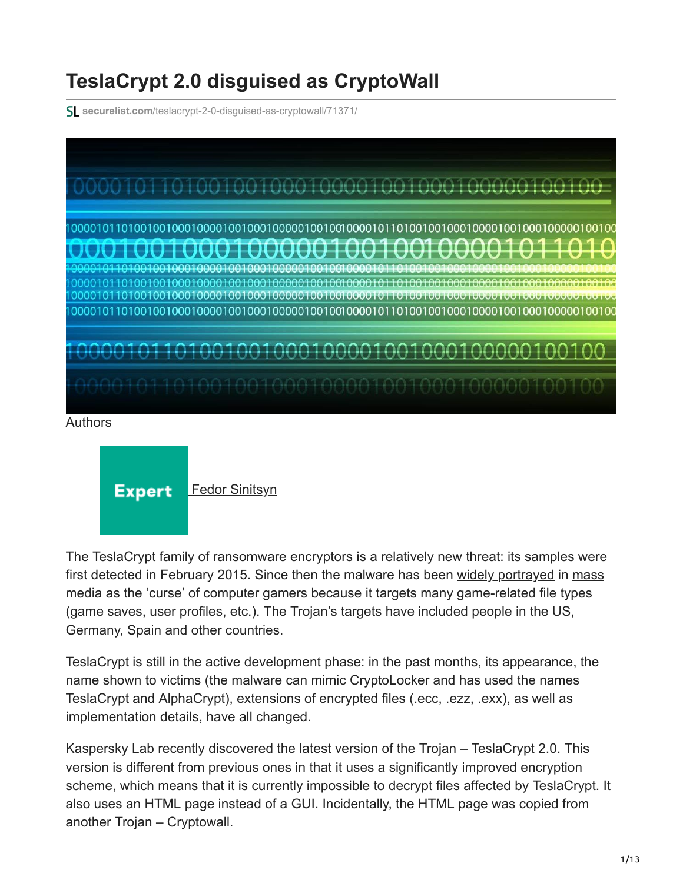# **TeslaCrypt 2.0 disguised as CryptoWall**

**securelist.com**[/teslacrypt-2-0-disguised-as-cryptowall/71371/](https://securelist.com/teslacrypt-2-0-disguised-as-cryptowall/71371/)



#### Authors

**Expert** [Fedor Sinitsyn](https://securelist.com/author/fedors/)

The TeslaCrypt family of ransomware encryptors is a relatively new threat: its samples were [first detected in February 2015. Since then the malware has been widely portrayed in mass](https://threatpost.com/teslacrypt-ransomware-taking-a-toll-on-victims/112867) media as the 'curse' of computer gamers because it targets many game-related file types (game saves, user profiles, etc.). The Trojan's targets have included people in the US, Germany, Spain and other countries.

TeslaCrypt is still in the active development phase: in the past months, its appearance, the name shown to victims (the malware can mimic CryptoLocker and has used the names TeslaCrypt and AlphaCrypt), extensions of encrypted files (.ecc, .ezz, .exx), as well as implementation details, have all changed.

Kaspersky Lab recently discovered the latest version of the Trojan – TeslaCrypt 2.0. This version is different from previous ones in that it uses a significantly improved encryption scheme, which means that it is currently impossible to decrypt files affected by TeslaCrypt. It also uses an HTML page instead of a GUI. Incidentally, the HTML page was copied from another Trojan – Cryptowall.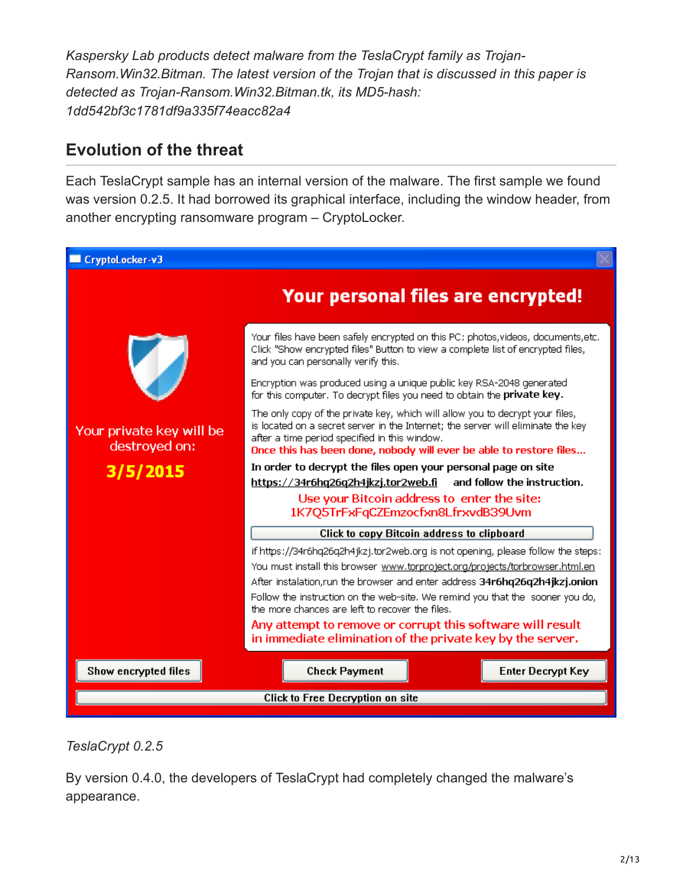*Kaspersky Lab products detect malware from the TeslaCrypt family as Trojan-Ransom.Win32.Bitman. The latest version of the Trojan that is discussed in this paper is detected as Trojan-Ransom.Win32.Bitman.tk, its MD5-hash: 1dd542bf3c1781df9a335f74eacc82a4*

# **Evolution of the threat**

Each TeslaCrypt sample has an internal version of the malware. The first sample we found was version 0.2.5. It had borrowed its graphical interface, including the window header, from another encrypting ransomware program – CryptoLocker.



*TeslaCrypt 0.2.5*

By version 0.4.0, the developers of TeslaCrypt had completely changed the malware's appearance.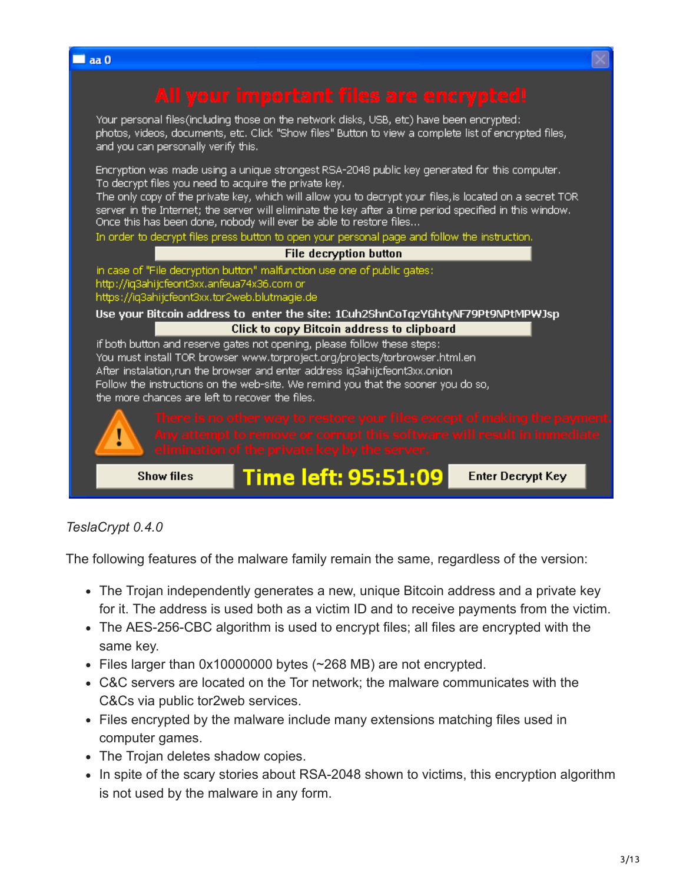

#### *TeslaCrypt 0.4.0*

The following features of the malware family remain the same, regardless of the version:

- The Trojan independently generates a new, unique Bitcoin address and a private key for it. The address is used both as a victim ID and to receive payments from the victim.
- The AES-256-CBC algorithm is used to encrypt files; all files are encrypted with the same key.
- Files larger than 0x10000000 bytes (~268 MB) are not encrypted.
- C&C servers are located on the Tor network; the malware communicates with the C&Cs via public tor2web services.
- Files encrypted by the malware include many extensions matching files used in computer games.
- The Trojan deletes shadow copies.
- In spite of the scary stories about RSA-2048 shown to victims, this encryption algorithm is not used by the malware in any form.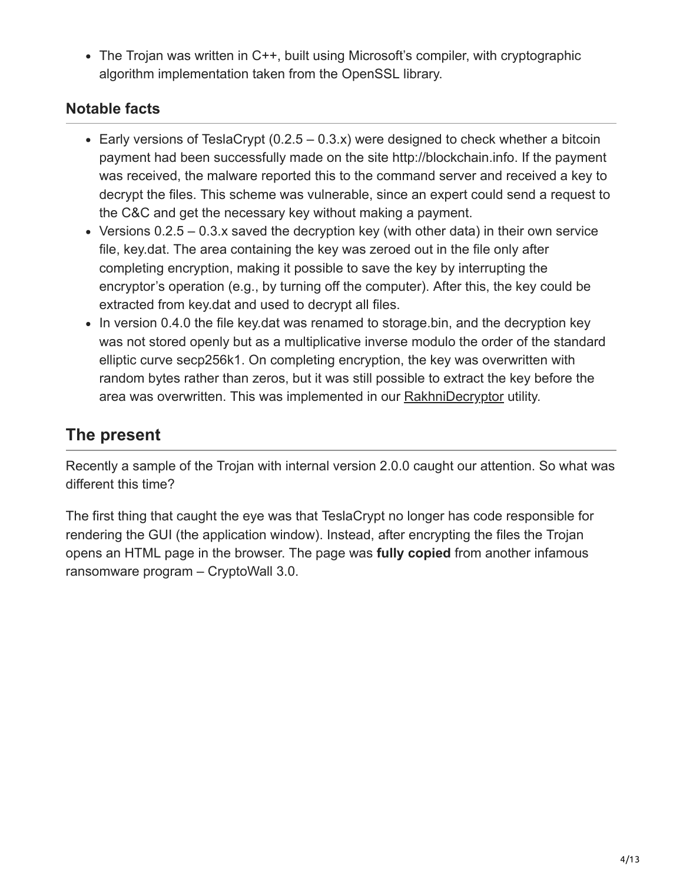• The Trojan was written in C++, built using Microsoft's compiler, with cryptographic algorithm implementation taken from the OpenSSL library.

# **Notable facts**

- Early versions of TeslaCrypt  $(0.2.5 0.3.x)$  were designed to check whether a bitcoin payment had been successfully made on the site http://blockchain.info. If the payment was received, the malware reported this to the command server and received a key to decrypt the files. This scheme was vulnerable, since an expert could send a request to the C&C and get the necessary key without making a payment.
- Versions  $0.2.5 0.3.x$  saved the decryption key (with other data) in their own service file, key.dat. The area containing the key was zeroed out in the file only after completing encryption, making it possible to save the key by interrupting the encryptor's operation (e.g., by turning off the computer). After this, the key could be extracted from key.dat and used to decrypt all files.
- In version 0.4.0 the file key.dat was renamed to storage.bin, and the decryption key was not stored openly but as a multiplicative inverse modulo the order of the standard elliptic curve secp256k1. On completing encryption, the key was overwritten with random bytes rather than zeros, but it was still possible to extract the key before the area was overwritten. This was implemented in our **RakhniDecryptor** utility.

# **The present**

Recently a sample of the Trojan with internal version 2.0.0 caught our attention. So what was different this time?

The first thing that caught the eye was that TeslaCrypt no longer has code responsible for rendering the GUI (the application window). Instead, after encrypting the files the Trojan opens an HTML page in the browser. The page was **fully copied** from another infamous ransomware program – CryptoWall 3.0.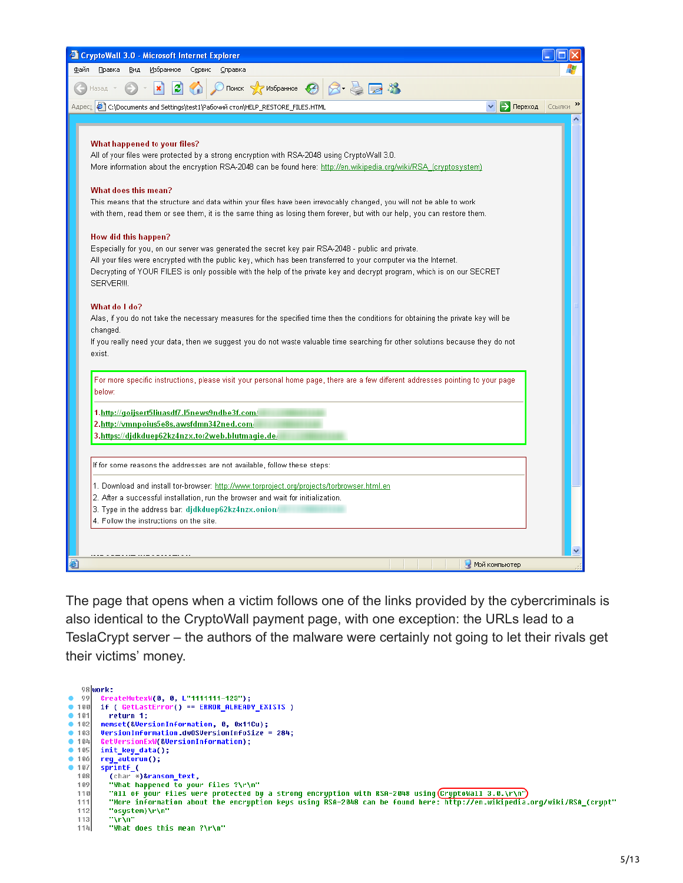| <b>Explored CryptoWall 3.0 - Microsoft Internet Explorer</b>                                                                                                                                                                                                                                                                                                                                                                                                                                                                                                                                                                                                                                                                                                                                                                                                                                                                                                                                                                                                                                                                                                                                                                       |  |
|------------------------------------------------------------------------------------------------------------------------------------------------------------------------------------------------------------------------------------------------------------------------------------------------------------------------------------------------------------------------------------------------------------------------------------------------------------------------------------------------------------------------------------------------------------------------------------------------------------------------------------------------------------------------------------------------------------------------------------------------------------------------------------------------------------------------------------------------------------------------------------------------------------------------------------------------------------------------------------------------------------------------------------------------------------------------------------------------------------------------------------------------------------------------------------------------------------------------------------|--|
| Избранное<br>Сервис<br>Файл<br>Правка<br>Вид<br>Справка                                                                                                                                                                                                                                                                                                                                                                                                                                                                                                                                                                                                                                                                                                                                                                                                                                                                                                                                                                                                                                                                                                                                                                            |  |
| Поиск $\sqrt{2}$ Избранное $\sqrt{2}$<br>Назад.                                                                                                                                                                                                                                                                                                                                                                                                                                                                                                                                                                                                                                                                                                                                                                                                                                                                                                                                                                                                                                                                                                                                                                                    |  |
| Aдрес: <mark>@]</mark> C:\Documents and Settings\test1\Рабочий стол\HELP_RESTORE_FILES.HTML<br><b>-&gt;</b> Переход Ссылки                                                                                                                                                                                                                                                                                                                                                                                                                                                                                                                                                                                                                                                                                                                                                                                                                                                                                                                                                                                                                                                                                                         |  |
|                                                                                                                                                                                                                                                                                                                                                                                                                                                                                                                                                                                                                                                                                                                                                                                                                                                                                                                                                                                                                                                                                                                                                                                                                                    |  |
| What happened to your files?<br>All of your files were protected by a strong encryption with RSA-2048 using CryptoWall 3.0.<br>More information about the encryption RSA-2048 can be found here: http://en.wikipedia.org/wiki/RSA (cryptosystem)<br>What does this mean?<br>This means that the structure and data within your files have been irrevocably changed, you will not be able to work<br>with them, read them or see them, it is the same thing as losing them forever, but with our help, you can restore them.<br>How did this happen?<br>Especially for you, on our server was generated the secret key pair RSA-2048 - public and private.<br>All your files were encrypted with the public key, which has been transferred to your computer via the Internet.<br>Decrypting of YOUR FILES is only possible with the help of the private key and decrypt program, which is on our SECRET<br>SERVER !!!<br>What do I do?<br>Alas, if you do not take the necessary measures for the specified time then the conditions for obtaining the private key will be<br>changed.<br>If you really need your data, then we suggest you do not waste valuable time searching for other solutions because they do not<br>exist. |  |
| For more specific instructions, please visit your personal home page, there are a few different addresses pointing to your page<br>helow:<br>1.http://goijsert5liuasdf7.l5news9ndbe3f.com/                                                                                                                                                                                                                                                                                                                                                                                                                                                                                                                                                                                                                                                                                                                                                                                                                                                                                                                                                                                                                                         |  |
| 2.http://vmnpoius5e8s.awsfdmn342ned.com/                                                                                                                                                                                                                                                                                                                                                                                                                                                                                                                                                                                                                                                                                                                                                                                                                                                                                                                                                                                                                                                                                                                                                                                           |  |
| 3.https://djdkduep62kz4nzx.tor2web.blutmagie.de/                                                                                                                                                                                                                                                                                                                                                                                                                                                                                                                                                                                                                                                                                                                                                                                                                                                                                                                                                                                                                                                                                                                                                                                   |  |
| If for some reasons the addresses are not available, follow these steps:                                                                                                                                                                                                                                                                                                                                                                                                                                                                                                                                                                                                                                                                                                                                                                                                                                                                                                                                                                                                                                                                                                                                                           |  |
| 1. Download and install tor-browser: http://www.torproject.org/projects/torbrowser.html.en<br>2. After a successful installation, run the browser and wait for initialization.<br>3. Type in the address bar: djdkduep62kz4nzx.onion/<br>4. Follow the instructions on the site.                                                                                                                                                                                                                                                                                                                                                                                                                                                                                                                                                                                                                                                                                                                                                                                                                                                                                                                                                   |  |
| Мой компьютер                                                                                                                                                                                                                                                                                                                                                                                                                                                                                                                                                                                                                                                                                                                                                                                                                                                                                                                                                                                                                                                                                                                                                                                                                      |  |

The page that opens when a victim follows one of the links provided by the cybercriminals is also identical to the CryptoWall payment page, with one exception: the URLs lead to a TeslaCrypt server – the authors of the malware were certainly not going to let their rivals get their victims' money.

98 work:  $99$ ...<br>CreateMutexW(0, 0, L"1111111-123");  $\bullet$  $• 100$ if ( GetLastError() == ERROR\_ALREADY\_EXISTS )  $• 101$ return 1;  $• 102$ memset(&VersionInformation, 0, 0x11Cu);  $\bullet$  103 **VersionInformation dwOSVersionInfoSize = 284;**  $-104$ **sionExW(&VersionInformation);**  $• 105$ init\_key\_data();  $• 106$ reg\_autorun(); sprintf\_(<br>(char \*)&ransom\_text,  $• 107$ 108 (char \*)&ransom\_text,<br>"What happened to your files ?\r\n"<br>"All of your files were protected by a strong encryption with RSA-2048 using CryptoWall 3.0.\r\n")<br>"Nore information about the encryption keys using RSA-2048 can be  $100$  $110$ 111 112  $113$ "\r\n" 114 "What does this mean ?\r\n"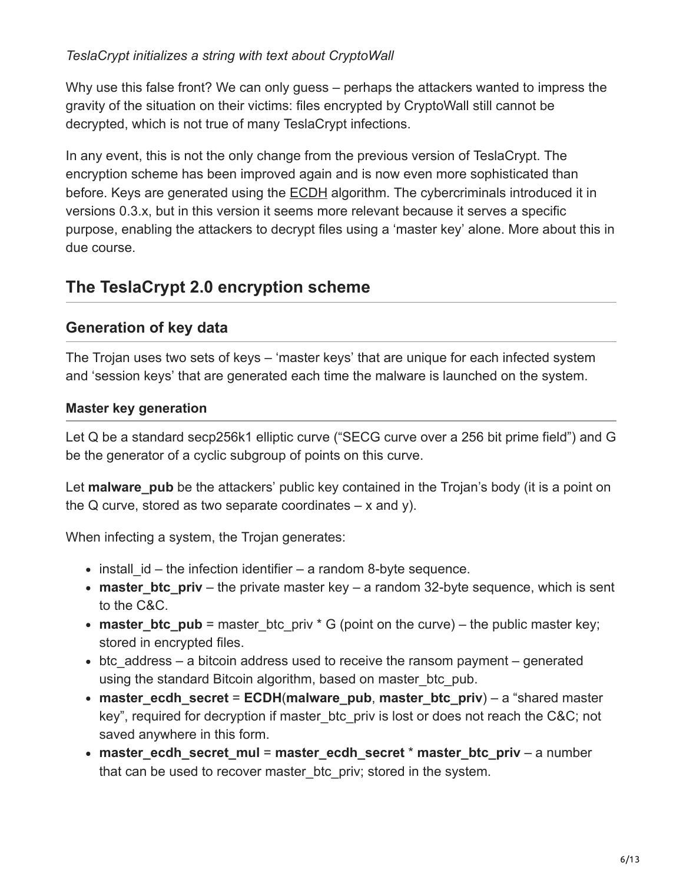#### *TeslaCrypt initializes a string with text about CryptoWall*

Why use this false front? We can only guess – perhaps the attackers wanted to impress the gravity of the situation on their victims: files encrypted by CryptoWall still cannot be decrypted, which is not true of many TeslaCrypt infections.

In any event, this is not the only change from the previous version of TeslaCrypt. The encryption scheme has been improved again and is now even more sophisticated than before. Keys are generated using the [ECDH](https://en.wikipedia.org/wiki/Elliptic_curve_Diffie%E2%80%93Hellman) algorithm. The cybercriminals introduced it in versions 0.3.x, but in this version it seems more relevant because it serves a specific purpose, enabling the attackers to decrypt files using a 'master key' alone. More about this in due course.

# **The TeslaCrypt 2.0 encryption scheme**

### **Generation of key data**

The Trojan uses two sets of keys – 'master keys' that are unique for each infected system and 'session keys' that are generated each time the malware is launched on the system.

#### **Master key generation**

Let Q be a standard secp256k1 elliptic curve ("SECG curve over a 256 bit prime field") and G be the generator of a cyclic subgroup of points on this curve.

Let **malware** pub be the attackers' public key contained in the Trojan's body (it is a point on the Q curve, stored as two separate coordinates  $-x$  and y).

When infecting a system, the Trojan generates:

- $\bullet$  install id the infection identifier a random 8-byte sequence.
- **master\_btc\_priv** the private master key a random 32-byte sequence, which is sent to the C&C.
- **master\_btc\_pub** = master btc priv  $*$  G (point on the curve) the public master key; stored in encrypted files.
- $\bullet$  btc address a bitcoin address used to receive the ransom payment generated using the standard Bitcoin algorithm, based on master btc pub.
- **master\_ecdh\_secret** = **ECDH**(**malware\_pub**, **master\_btc\_priv**) a "shared master key", required for decryption if master btc priv is lost or does not reach the C&C; not saved anywhere in this form.
- **master\_ecdh\_secret\_mul** = **master\_ecdh\_secret** \* **master\_btc\_priv** a number that can be used to recover master btc priv; stored in the system.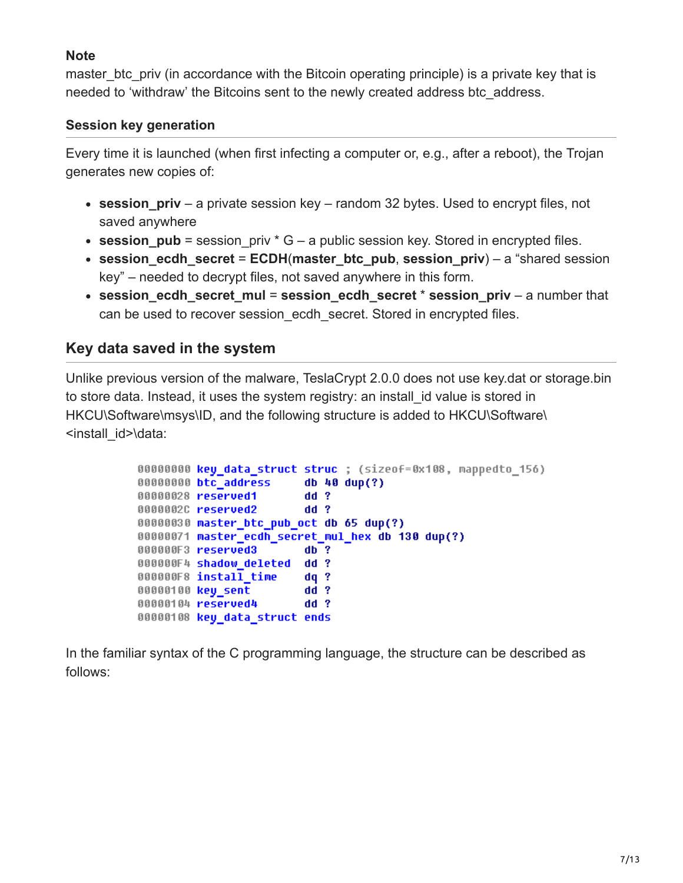#### **Note**

master btc priv (in accordance with the Bitcoin operating principle) is a private key that is needed to 'withdraw' the Bitcoins sent to the newly created address btc\_address.

#### **Session key generation**

Every time it is launched (when first infecting a computer or, e.g., after a reboot), the Trojan generates new copies of:

- **session priv** a private session key random 32 bytes. Used to encrypt files, not saved anywhere
- **session pub** = session priv  $*$  G a public session key. Stored in encrypted files.
- **session ecdh secret** = **ECDH**(master btc pub, session priv) a "shared session key" – needed to decrypt files, not saved anywhere in this form.
- **session ecdh secret mul = session ecdh secret \* session priv a number that** can be used to recover session ecdh secret. Stored in encrypted files.

### **Key data saved in the system**

Unlike previous version of the malware, TeslaCrypt 2.0.0 does not use key.dat or storage.bin to store data. Instead, it uses the system registry: an install\_id value is stored in HKCU\Software\msys\ID, and the following structure is added to HKCU\Software\ <install\_id>\data:

```
00000000 key_data_struct struc ; (sizeof=0x108, mappedto_156)
                          db 40 dup(?)00000000 btc_address
                          dd<sub>2</sub>00000028 reserved1
0000002C reserved2
                          dd?
00000030 master_btc_pub_oct db 65 dup(?)
00000071 master ecdh secret mul hex db 130 dup(?)
000000F3 reserved3
                          db?
000000F4 shadow deleted dd ?
000000F8 install time
                          dq?
00000100 key sent
                          dd ?
00000104 reserved4
                          dd<sub>2</sub>00000108 key data struct ends
```
In the familiar syntax of the C programming language, the structure can be described as follows: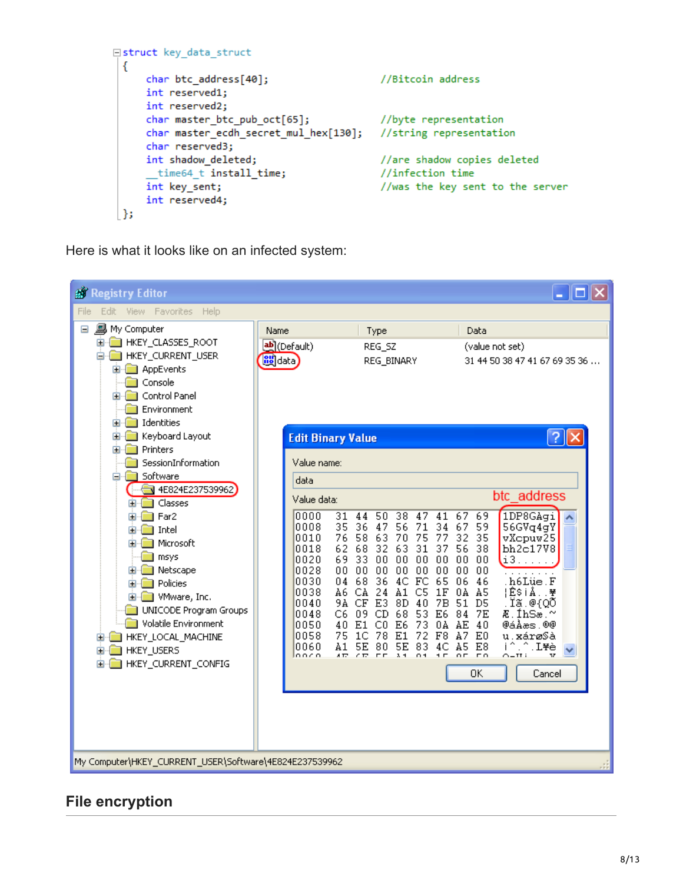```
□struct key data struct
 €
     char btc address[40];
                                              //Bitcoin address
     int reserved1;
     int reserved2;
     char master_btc_pub_oct[65];
                                              //byte representation
     char master_ecdh_secret_mul_hex[130]; //string representation
     char reserved3;
                                              //are shadow copies deleted
     int shadow_deleted;
      time64 t install time;
                                              //infection time
     int key sent;
                                              //was the key sent to the server
     int reserved4;
 | };
```
Here is what it looks like on an infected system:



# **File encryption**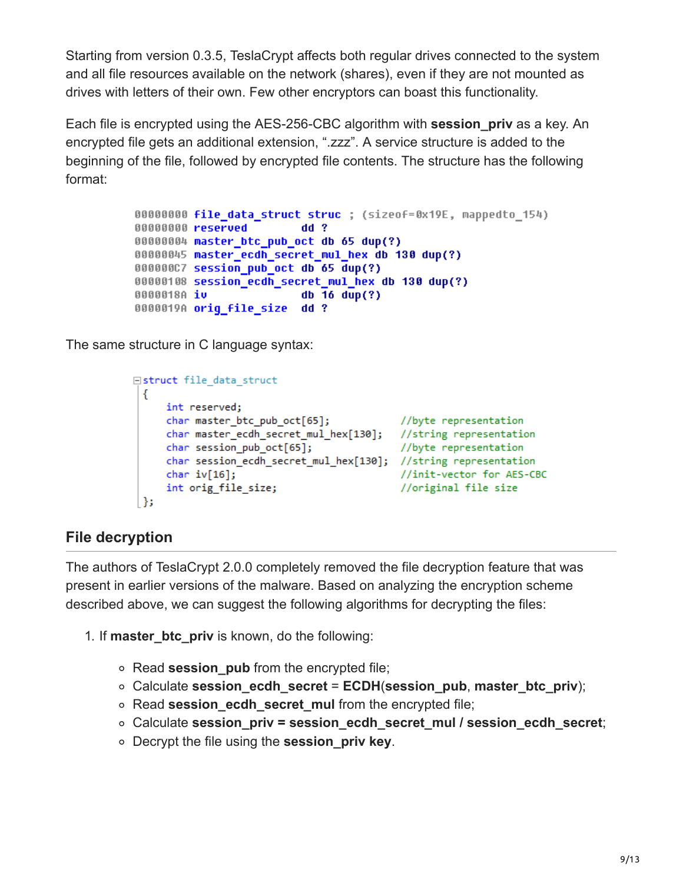Starting from version 0.3.5, TeslaCrypt affects both regular drives connected to the system and all file resources available on the network (shares), even if they are not mounted as drives with letters of their own. Few other encryptors can boast this functionality.

Each file is encrypted using the AES-256-CBC algorithm with **session\_priv** as a key. An encrypted file gets an additional extension, ".zzz". A service structure is added to the beginning of the file, followed by encrypted file contents. The structure has the following format:

```
00000000 file data struct struc ; (sizeof=0x19E, mappedto 154)
00000000 reserved
                         dd?
00000004 master_btc_pub_oct db 65 dup(?)
00000045 master ecdh secret mul hex db 130 dup(?)
000000C7 session pub oct db 65 dup(?)
00000108 session ecdh secret mul hex db 130 dup(?)
                         db 16 \text{ dup}(?)0000018A iv
0000019A orig file size dd ?
```
The same structure in C language syntax:

```
□struct file_data_struct
 €
     int reserved;
     char master btc pub oct[65];
                                           //byte representation
     char master_ecdh_secret_mul_hex[130]; //string representation
     char session pub oct[65];
                                            //byte representation
     char session_ecdh_secret_mul_hex[130]; //string representation
     char iv[16];
                                            //init-vector for AES-CBC
     int orig file size;
                                            //original file size
 |};
```
### **File decryption**

The authors of TeslaCrypt 2.0.0 completely removed the file decryption feature that was present in earlier versions of the malware. Based on analyzing the encryption scheme described above, we can suggest the following algorithms for decrypting the files:

- 1. If **master\_btc\_priv** is known, do the following:
	- Read **session pub** from the encrypted file;
	- Calculate **session\_ecdh\_secret** = **ECDH**(**session\_pub**, **master\_btc\_priv**);
	- Read **session\_ecdh\_secret\_mul** from the encrypted file;
	- Calculate **session\_priv = session\_ecdh\_secret\_mul / session\_ecdh\_secret**;
	- Decrypt the file using the **session\_priv key**.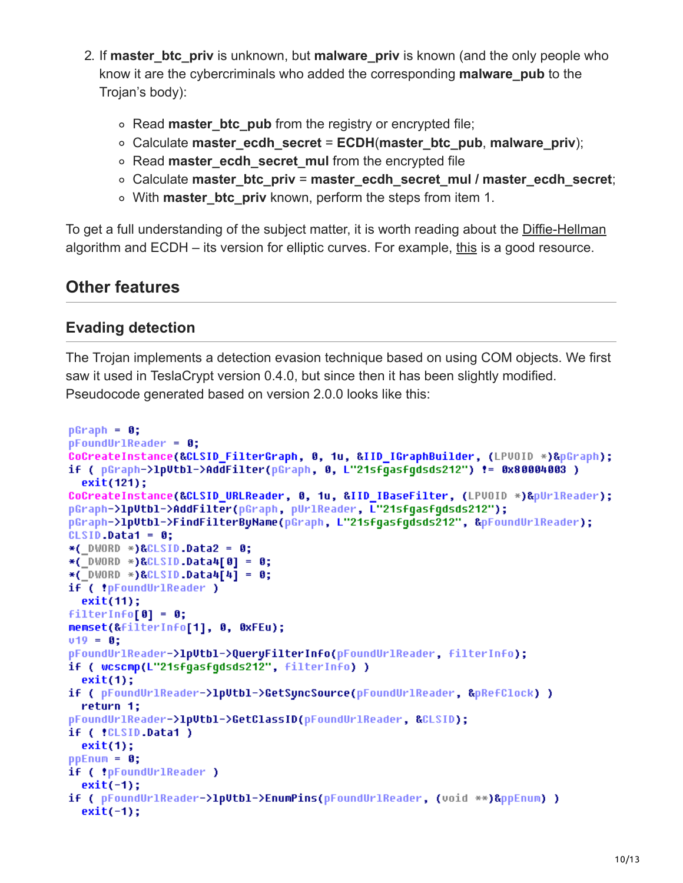- 2. If **master\_btc\_priv** is unknown, but **malware\_priv** is known (and the only people who know it are the cybercriminals who added the corresponding **malware\_pub** to the Trojan's body):
	- Read **master btc pub** from the registry or encrypted file;
	- Calculate **master\_ecdh\_secret** = **ECDH**(**master\_btc\_pub**, **malware\_priv**);
	- Read **master\_ecdh\_secret\_mul** from the encrypted file
	- Calculate **master\_btc\_priv** = **master\_ecdh\_secret\_mul / master\_ecdh\_secret**;
	- With **master\_btc\_priv** known, perform the steps from item 1.

To get a full understanding of the subject matter, it is worth reading about the [Diffie-Hellman](https://en.wikipedia.org/wiki/Diffie%E2%80%93Hellman_key_exchange) algorithm and ECDH – its version for elliptic curves. For example, [this](http://andrea.corbellini.name/2015/05/30/elliptic-curve-cryptography-ecdh-and-ecdsa/) is a good resource.

# **Other features**

#### **Evading detection**

The Trojan implements a detection evasion technique based on using COM objects. We first saw it used in TeslaCrypt version 0.4.0, but since then it has been slightly modified. Pseudocode generated based on version 2.0.0 looks like this:

```
pGraph = 0;
pFoundUr1Reader = 0;CoCreateInstance(&CLSID FilterGraph, 0, 1u, &IID IGraphBuilder, (LPV0ID *)&pGraph);
if ( pGraph->lpUtbl->AddFilter(pGraph, 0, L"21sfgasfgdsds212") != 0x80004003 )
  exit(121);CoCreateInstance(&CLSID_URLReader, 0, 1u, &IID_IBaseFilter, (LPV0ID *)&pUrlReader);
pGraph->1pUtbl->AddFilter(pGraph, pUrlReader, L"21sfgasfgdsds212");
pGraph->1pUtbl->FindFilterBuName(pGraph, L"21sfqasfqdsds212", &pFoundUrlReader);
CLSID. Data1 = 0;
*( DWORD *)&CLSID.Data2 = 0;
*( DWORD *)&CLSID.Data4[0] = 0;
*(_DWORD *)&CLSID.Data4[4] = 0;
if ( !pFoundUrlReader )
 exit(11);filterInfo[0] = 0;memset(&filterInfo[1], 0, 0xFEu);
v19 = 0;
pFoundUrlReader->lpUtbl->QueryFilterInfo(pFoundUrlReader, filterInfo);
if ( wcscmp(L"21sfgasfgdsds212", filterInfo) )
  exit(1);if ( pFoundUrlReader->lpUtbl->GetSyncSource(pFoundUrlReader, &pRefClock) )
 return 1;
pFoundUrlReader->1pUtbl->GetClassID(pFoundUrlReader, &CLSID);
if ( !CLSID.Data1 )
  exit(1);ppEnum = 0;if ( !pFoundUrlReader )
  exit(-1);if ( pFoundUrlReader->1pUtbl->EnumPins(pFoundUrlReader, (void **)&ppEnum) )
 exit(-1);
```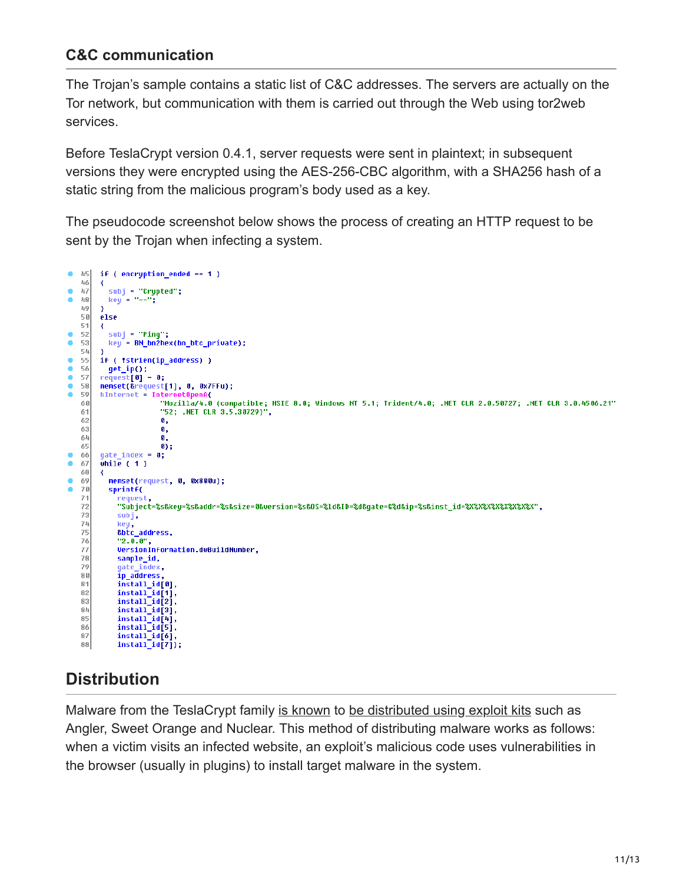### **C&C communication**

The Trojan's sample contains a static list of C&C addresses. The servers are actually on the Tor network, but communication with them is carried out through the Web using tor2web services.

Before TeslaCrypt version 0.4.1, server requests were sent in plaintext; in subsequent versions they were encrypted using the AES-256-CBC algorithm, with a SHA256 hash of a static string from the malicious program's body used as a key.

The pseudocode screenshot below shows the process of creating an HTTP request to be sent by the Trojan when infecting a system.



# **Distribution**

Malware from the TeslaCrypt family [is known](https://isc.sans.edu/diary/Exploit+kits+(still)+pushing+Teslacrypt+ransomware/19581) to [be distributed using exploit kits](https://threatpost.com/angler-exploit-kit-pushing-new-unnamed-ransomware/112751) such as Angler, Sweet Orange and Nuclear. This method of distributing malware works as follows: when a victim visits an infected website, an exploit's malicious code uses vulnerabilities in the browser (usually in plugins) to install target malware in the system.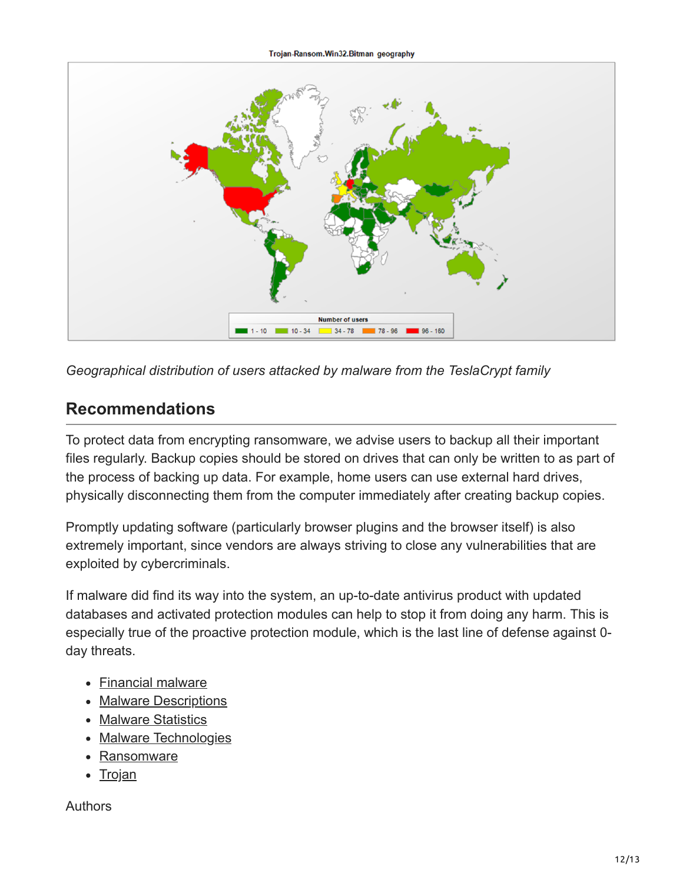

*Geographical distribution of users attacked by malware from the TeslaCrypt family*

# **Recommendations**

To protect data from encrypting ransomware, we advise users to backup all their important files regularly. Backup copies should be stored on drives that can only be written to as part of the process of backing up data. For example, home users can use external hard drives, physically disconnecting them from the computer immediately after creating backup copies.

Promptly updating software (particularly browser plugins and the browser itself) is also extremely important, since vendors are always striving to close any vulnerabilities that are exploited by cybercriminals.

If malware did find its way into the system, an up-to-date antivirus product with updated databases and activated protection modules can help to stop it from doing any harm. This is especially true of the proactive protection module, which is the last line of defense against 0 day threats.

- [Financial malware](https://securelist.com/tag/financial-malware/)
- [Malware Descriptions](https://securelist.com/tag/malware-descriptions/)
- [Malware Statistics](https://securelist.com/tag/malware-statistics/)
- [Malware Technologies](https://securelist.com/tag/malware-technologies/)
- [Ransomware](https://securelist.com/tag/ransomware/)
- [Trojan](https://securelist.com/tag/trojan/)

Authors